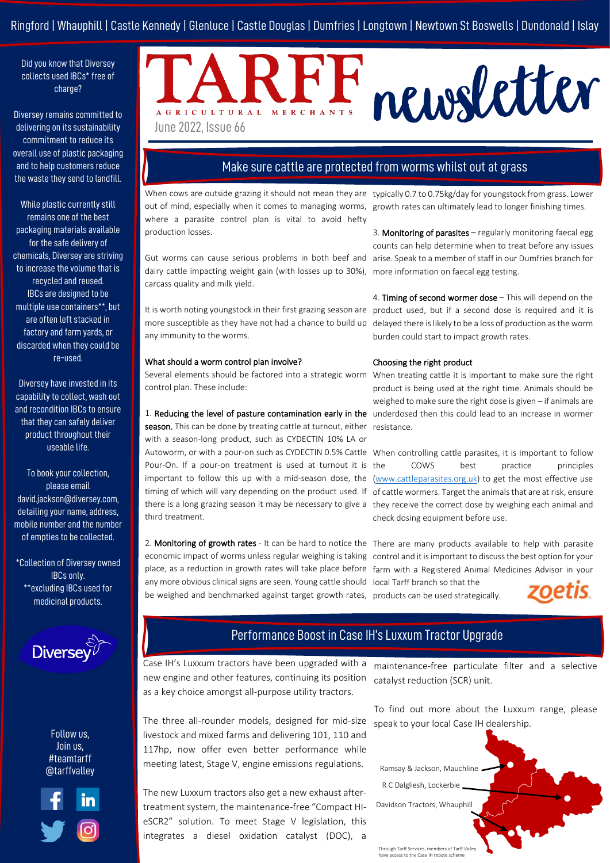# Ringford | Whauphill | Castle Kennedy | Glenluce | Castle Douglas | Dumfries | Longtown | Newtown St Boswells | Dundonald | Islay

Did you know that Diversey collects used IBCs\* free of charge?

Diversey remains committed to delivering on its sustainability commitment to reduce its overall use of plastic packaging and to help customers reduce the waste they send to landfill.

While plastic currently still remains one of the best packaging materials available for the safe delivery of chemicals, Diversey are striving to increase the volume that is recycled and reused. IBCs are designed to be multiple use containers\*\*, but are often left stacked in factory and farm yards, or discarded when they could be re-used.

Diversey have invested in its capability to collect, wash out and recondition IBCs to ensure that they can safely deliver product throughout their useable life.

To book your collection, please email david.jackson@diversey.com, detailing your name, address, mobile number and the number of empties to be collected.

\*Collection of Diversey owned IBCs only. \*\*excluding IBCs used for medicinal products.



Follow us, Join us, #teamtarff @tarffvalley



# newsletter AGRICULTURAL MERCHANTS June 2022, Issue 66

# Make sure cattle are protected from worms whilst out at grass

When cows are outside grazing it should not mean they are typically 0.7 to 0.75kg/day for youngstock from grass. Lower out of mind, especially when it comes to managing worms, growth rates can ultimately lead to longer finishing times. where a parasite control plan is vital to avoid hefty production losses.

Gut worms can cause serious problems in both beef and dairy cattle impacting weight gain (with losses up to 30%), more information on faecal egg testing. carcass quality and milk yield.

It is worth noting youngstock in their first grazing season are more susceptible as they have not had a chance to build up any immunity to the worms.

#### What should a worm control plan involve?

Several elements should be factored into a strategic worm When treating cattle it is important to make sure the right control plan. These include:

1. Reducing the level of pasture contamination early in the underdosed then this could lead to an increase in wormer season. This can be done by treating cattle at turnout, either resistance. with a season-long product, such as CYDECTIN 10% LA or Autoworm, or with a pour-on such as CYDECTIN 0.5% Cattle When controlling cattle parasites, it is important to follow Pour-On. If a pour-on treatment is used at turnout it is the important to follow this up with a mid-season dose, the [\(www.cattleparasites.org.uk\)](http://www.cattleparasites.org.uk/) to get the most effective use timing of which will vary depending on the product used. If of cattle wormers. Target the animals that are at risk, ensure there is a long grazing season it may be necessary to give a they receive the correct dose by weighing each animal and third treatment.

2. Monitoring of growth rates - It can be hard to notice the There are many products available to help with parasite economic impact of worms unless regular weighing is taking control and it is important to discuss the best option for your place, as a reduction in growth rates will take place before farm with a Registered Animal Medicines Advisor in your any more obvious clinical signs are seen. Young cattle should local Tarff branch so that the be weighed and benchmarked against target growth rates, products can be used strategically.

3. Monitoring of parasites – regularly monitoring faecal egg counts can help determine when to treat before any issues arise. Speak to a member of staff in our Dumfries branch for

4. Timing of second wormer dose – This will depend on the product used, but if a second dose is required and it is delayed there is likely to be a loss of production as the worm burden could start to impact growth rates.

#### Choosing the right product

product is being used at the right time. Animals should be weighed to make sure the right dose is given – if animals are

COWS best practice principles check dosing equipment before use.



# Performance Boost in Case IH's Luxxum Tractor Upgrade

Case IH's Luxxum tractors have been upgraded with a new engine and other features, continuing its position as a key choice amongst all-purpose utility tractors.

The three all-rounder models, designed for mid-size livestock and mixed farms and delivering 101, 110 and 117hp, now offer even better performance while meeting latest, Stage V, engine emissions regulations.

The new Luxxum tractors also get a new exhaust aftertreatment system, the maintenance-free "Compact HIeSCR2" solution. To meet Stage V legislation, this integrates a diesel oxidation catalyst (DOC), a

maintenance-free particulate filter and a selective catalyst reduction (SCR) unit.

To find out more about the Luxxum range, please speak to your local Case IH dealership.



Through Tarff Services, members of Tarff Valley have access to the Case IH rebate sche